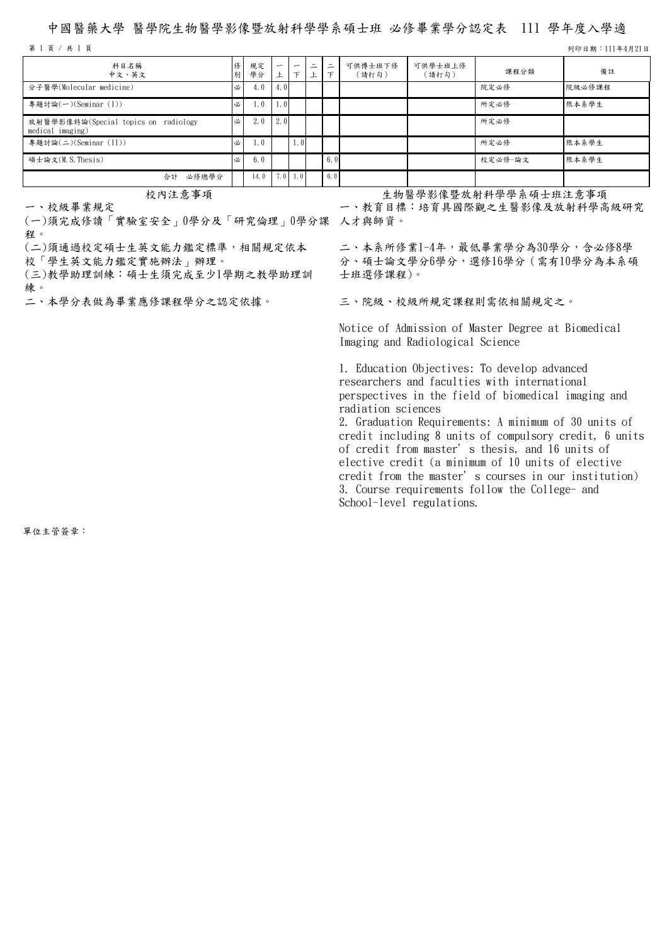## 中國醫藥大學 醫學院生物醫學影像暨放射科學學系碩士班 必修畢業學分認定表 111 學年度入學適

第 1 頁 / 共 1 頁 列印日期:111年4月21日

| 科目名稱<br>中文、英文                                            | 別 | 規定<br>學分 | -    | $\overline{\phantom{0}}$<br>て | $\overline{\phantom{0}}$<br>— | $\equiv$ | 可供博士班下修<br>(請打勾) | 可供學士班上修<br>(請打勾) | 課程分類    | 備註     |
|----------------------------------------------------------|---|----------|------|-------------------------------|-------------------------------|----------|------------------|------------------|---------|--------|
| 分子醫學(Molecular medicine)                                 | 必 | 4.0      | 4.0  |                               |                               |          |                  |                  | 院定必修    | 院級必修課程 |
| 專題討論(一)(Seminar (I))                                     | 必 | 1.0      | 1.01 |                               |                               |          |                  |                  | 所定必修    | 限本系學生  |
| 放射醫學影像特論(Special topics on radiology<br>medical imaging) | 必 | 2.0      | 2. O |                               |                               |          |                  |                  | 所定必修    |        |
| 專題討論(二)(Seminar (II))                                    | 必 | 1.0      |      | 1.01                          |                               |          |                  |                  | 所定必修    | 限本系學生  |
| 碩士論文(M.S.Thesis)                                         | 必 | 6.0      |      |                               |                               | 6.0      |                  |                  | 校定必修-論文 | 限本系學生  |
| 必修總學分<br>合計                                              |   | 14.0     |      | $7.0 \quad 1.0$               |                               | 6.0      |                  |                  |         |        |

一、校級畢業規定

(一)須完成修讀「實驗室安全」0學分及「研究倫理」0學分課 人才與師資。 程。

(二)須通過校定碩士生英文能力鑑定標準,相關規定依本

校「學生英文能力鑑定實施辦法」辦理。

(三)教學助理訓練:碩士生須完成至少1學期之教學助理訓 練。<br>二、本學分表做為畢業應修課程學分之認定依據。

校內注意事項 安物醫學影像暨放射科學學系碩士班注意事項

一、教育目標:培育具國際觀之生醫影像及放射科學高級研究

二、本系所修業1-4年,最低畢業學分為30學分,含必修8學 分、碩士論文學分6學分,選修16學分(需有10學分為本系碩 士班選修課程)。

三、院級、校級所規定課程則需依相關規定之。

Notice of Admission of Master Degree at Biomedical Imaging and Radiological Science

1. Education Objectives: To develop advanced researchers and faculties with international perspectives in the field of biomedical imaging and radiation sciences

2. Graduation Requirements: A minimum of 30 units of credit including 8 units of compulsory credit, 6 units of credit from master's thesis, and 16 units of elective credit (a minimum of 10 units of elective credit from the master's courses in our institution) 3. Course requirements follow the College- and School-level regulations.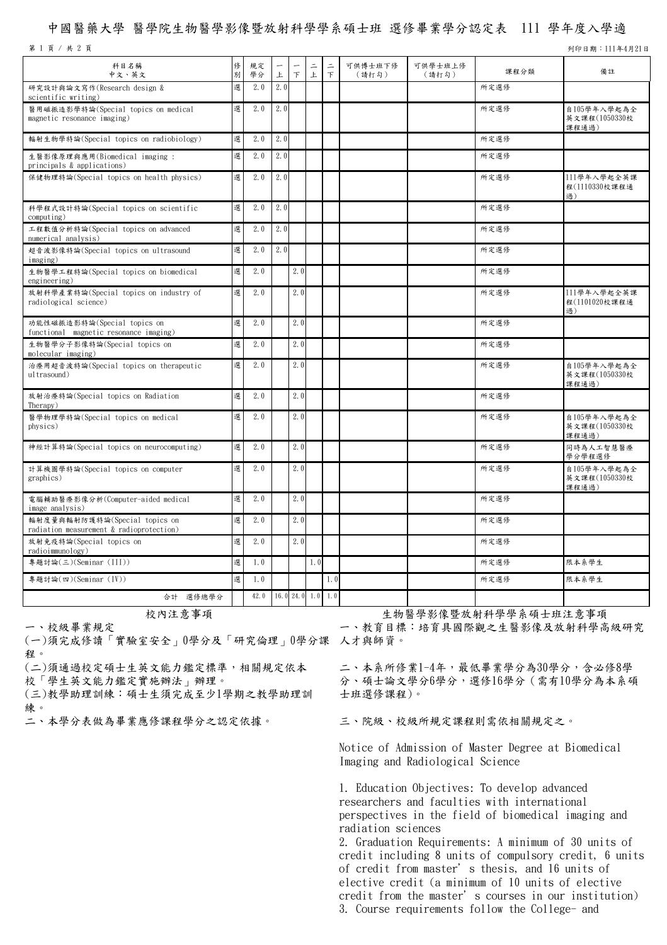## 中國醫藥大學 醫學院生物醫學影像暨放射科學學系碩士班 選修畢業學分認定表 111 學年度入學適

|  |  | 第 1 頁 / 共 2 頁 |  |  |
|--|--|---------------|--|--|
|  |  |               |  |  |

列印日期: 111年4月21日

| 科目名稱<br>中文、英文                                                             | 俢<br>別 | 規定<br>學分 | 上   | $\top$ | 上               | $\equiv$<br>$\top$ | 可供博士班下修<br>(請打勾) | 可供學士班上修<br>(請打勾) | 課程分類 | 備註                                    |
|---------------------------------------------------------------------------|--------|----------|-----|--------|-----------------|--------------------|------------------|------------------|------|---------------------------------------|
| 研究設計與論文寫作(Research design &<br>scientific writing)                        | 選      | 2.0      | 2.0 |        |                 |                    |                  |                  | 所定選修 |                                       |
| 醫用磁振造影學特論(Special topics on medical<br>magnetic resonance imaging)        | 選      | 2.0      | 2.0 |        |                 |                    |                  |                  | 所定選修 | 自105學年入學起為全<br>英文課程(1050330校<br>課程通過) |
| 輻射生物學特論(Special topics on radiobiology)                                   | 選      | 2.0      | 2.0 |        |                 |                    |                  |                  | 所定選修 |                                       |
| 生醫影像原理與應用(Biomedical imaging:<br>principals & applications)               | 選      | 2.0      | 2.0 |        |                 |                    |                  |                  | 所定選修 |                                       |
| 保健物理特論(Special topics on health physics)                                  | 選      | 2.0      | 2.0 |        |                 |                    |                  |                  | 所定選修 | 111學年入學起全英課<br>程(1110330校課程通<br>過)    |
| 科學程式設計特論(Special topics on scientific<br>computing)                       | 選      | 2.0      | 2.0 |        |                 |                    |                  |                  | 所定選修 |                                       |
| 工程數值分析特論(Special topics on advanced<br>numerical analysis)                | 選      | 2.0      | 2.0 |        |                 |                    |                  |                  | 所定選修 |                                       |
| 超音波影像特論(Special topics on ultrasound<br>imaging)                          | 選      | 2.0      | 2.0 |        |                 |                    |                  |                  | 所定選修 |                                       |
| 生物醫學工程特論(Special topics on biomedical<br>engineering)                     | 選      | 2.0      |     | 2.0    |                 |                    |                  |                  | 所定選修 |                                       |
| 放射科學產業特論(Special topics on industry of<br>radiological science)           | 選      | 2.0      |     | 2.0    |                 |                    |                  |                  | 所定選修 | 111學年入學起全英課<br>程(1101020校課程通<br>過)    |
| 功能性磁振造影特論(Special topics on<br>functional magnetic resonance imaging)     | 選      | 2.0      |     | 2.0    |                 |                    |                  |                  | 所定選修 |                                       |
| 生物醫學分子影像特論(Special topics on<br>molecular imaging)                        | 選      | 2.0      |     | 2.0    |                 |                    |                  |                  | 所定選修 |                                       |
| 治療用超音波特論(Special topics on therapeutic<br>ultrasound)                     | 選      | 2.0      |     | 2.0    |                 |                    |                  |                  | 所定選修 | 自105學年入學起為全<br>英文課程(1050330校<br>課程通過) |
| 放射治療特論(Special topics on Radiation<br>Therapy)                            | 選      | 2.0      |     | 2.0    |                 |                    |                  |                  | 所定選修 |                                       |
| 醫學物理學特論(Special topics on medical<br>physics)                             | 選      | 2.0      |     | 2.0    |                 |                    |                  |                  | 所定選修 | 自105學年入學起為全<br>英文課程(1050330校<br>課程通過) |
| 神經計算特論(Special topics on neurocomputing)                                  | 選      | 2.0      |     | 2.0    |                 |                    |                  |                  | 所定選修 | 同時為人工智慧醫療<br>學分學程選修                   |
| 計算機圖學特論(Special topics on computer<br>graphics)                           | 選      | 2.0      |     | 2.0    |                 |                    |                  |                  | 所定選修 | 自105學年入學起為全<br>英文課程(1050330校<br>課程通過) |
| 電腦輔助醫療影像分析(Computer-aided medical<br>image analysis)                      | 選      | 2.0      |     | 2.0    |                 |                    |                  |                  | 所定選修 |                                       |
| 輻射度量與輻射防護特論(Special topics on<br>radiation measurement & radioprotection) | 選      | 2.0      |     | 2.0    |                 |                    |                  |                  | 所定選修 |                                       |
| 放射免疫特論(Special topics on<br>radioimmunology)                              | 選      | 2.0      |     | 2.0    |                 |                    |                  |                  | 所定選修 |                                       |
| 專題討論(三)(Seminar (III))                                                    | 選      | 1.0      |     |        | 1.0             |                    |                  |                  | 所定選修 | 限本系學生                                 |
| 專題討論(四)(Seminar (IV))                                                     | 選      | 1.0      |     |        |                 | 1.0                |                  |                  | 所定選修 | 限本系學生                                 |
| 合計 選修總學分                                                                  |        | 42.0     |     |        | 16.024.01.011.0 |                    |                  |                  |      |                                       |

一、校級畢業規定

(一)須完成修讀「實驗室安全」0學分及「研究倫理」0學分課 人才與師資。 程。

(二)須通過校定碩士生英文能力鑑定標準,相關規定依本

校「學生英文能力鑑定實施辦法」辦理。

(三)教學助理訓練:碩士生須完成至少1學期之教學助理訓 練。<br>二、本學分表做為畢業應修課程學分之認定依據。

校內注意事項 きゅうしゃ ウェージ ウィット あいりょう あんきゅう おんさん あまう

一、教育目標:培育具國際觀之生醫影像及放射科學高級研究

二、本系所修業1-4年,最低畢業學分為30學分,含必修8學 分、碩士論文學分6學分,選修16學分(需有10學分為本系碩 士班選修課程)。

三、院級、校級所規定課程則需依相關規定之。

Notice of Admission of Master Degree at Biomedical Imaging and Radiological Science

1. Education Objectives: To develop advanced researchers and faculties with international perspectives in the field of biomedical imaging and radiation sciences

2. Graduation Requirements: A minimum of 30 units of credit including 8 units of compulsory credit, 6 units of credit from master's thesis, and 16 units of elective credit (a minimum of 10 units of elective credit from the master's courses in our institution) 3. Course requirements follow the College- and